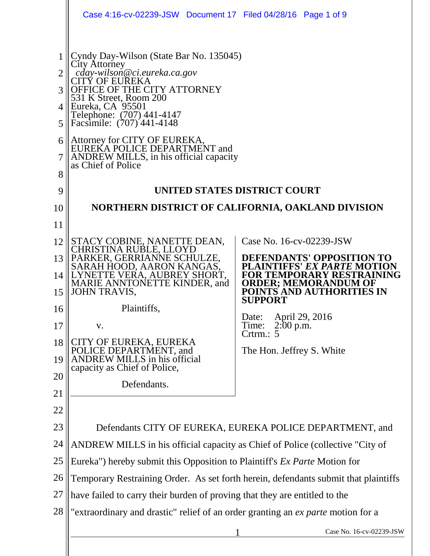|                                                    | Case 4:16-cv-02239-JSW Document 17 Filed 04/28/16 Page 1 of 9                                                                                                                                                                                                                                                                                                                                                                                                                                         |                                                                                                                                                                                                                                                                            |  |
|----------------------------------------------------|-------------------------------------------------------------------------------------------------------------------------------------------------------------------------------------------------------------------------------------------------------------------------------------------------------------------------------------------------------------------------------------------------------------------------------------------------------------------------------------------------------|----------------------------------------------------------------------------------------------------------------------------------------------------------------------------------------------------------------------------------------------------------------------------|--|
| 2<br>3<br>4<br>5<br>6<br>8<br>9<br>10<br>11<br>12  | Cyndy Day-Wilson (State Bar No. 135045)<br>City Attorney<br>cday-wilson@ci.eureka.ca.gov<br>CITÝ OF EUREKA<br>OFFICE OF THE CITY ATTORNEY<br>531 K Street, Room 200<br>Eureka, CA 95501<br>Telephone: (707) 441-4147<br>Facsimile: (707) 441-4148<br>Attorney for CITY OF EUREKA,<br>EUREKA POLICE DEPARTMENT and<br>ANDREW MILLS, in his official capacity<br>as Chief of Police<br>UNITED STATES DISTRICT COURT<br>NORTHERN DISTRICT OF CALIFORNIA, OAKLAND DIVISION<br>STACY COBINE, NANETTE DEAN, | Case No. 16-cv-02239-JSW                                                                                                                                                                                                                                                   |  |
| 13<br>14<br>15<br>16<br>17<br>18<br>19<br>20<br>21 | CHRISTINA RUBLE, LLOYD<br>PARKER, GERRIANNE SCHULZE,<br>SARAH HOOD, AARON KANGAS,<br>LYNETTE VERA, AUBREY SHORT,<br><b>MARIE ANNTONETTE KINDER, and</b><br><b>JOHN TRAVIS,</b><br>Plaintiffs,<br>V.<br>CITY OF EUREKA, EUREKA<br>POLICE DEPARTMENT, and<br>ANDREW MILLS in his official<br>capacity as Chief of Police,<br>Defendants.                                                                                                                                                                | DEFENDANTS' OPPOSITION TO<br><b>PLAINTIFFS' EX PARTE MOT</b><br><b>FOR TEMPORARY RESTRAINING</b><br><b>ORDER; MEMORANDUM OF</b><br>POINTS AND AUTHORITIES IN<br><b>SUPPORT</b><br>Date: April 29, 2016<br>Time:<br>$2:00$ p.m.<br>Crtrm.: $5$<br>The Hon. Jeffrey S. White |  |
| 22<br>23                                           |                                                                                                                                                                                                                                                                                                                                                                                                                                                                                                       |                                                                                                                                                                                                                                                                            |  |
| 24                                                 | Defendants CITY OF EUREKA, EUREKA POLICE DEPARTMENT, and<br>ANDREW MILLS in his official capacity as Chief of Police (collective "City of                                                                                                                                                                                                                                                                                                                                                             |                                                                                                                                                                                                                                                                            |  |
| 25                                                 | Eureka") hereby submit this Opposition to Plaintiff's <i>Ex Parte</i> Motion for                                                                                                                                                                                                                                                                                                                                                                                                                      |                                                                                                                                                                                                                                                                            |  |
| 26                                                 |                                                                                                                                                                                                                                                                                                                                                                                                                                                                                                       |                                                                                                                                                                                                                                                                            |  |
| 27                                                 | Temporary Restraining Order. As set forth herein, defendants submit that plaintiffs<br>have failed to carry their burden of proving that they are entitled to the                                                                                                                                                                                                                                                                                                                                     |                                                                                                                                                                                                                                                                            |  |
| 28                                                 | "extraordinary and drastic" relief of an order granting an ex parte motion for a                                                                                                                                                                                                                                                                                                                                                                                                                      |                                                                                                                                                                                                                                                                            |  |
|                                                    |                                                                                                                                                                                                                                                                                                                                                                                                                                                                                                       | Case No. 16-cv-02239-JSW                                                                                                                                                                                                                                                   |  |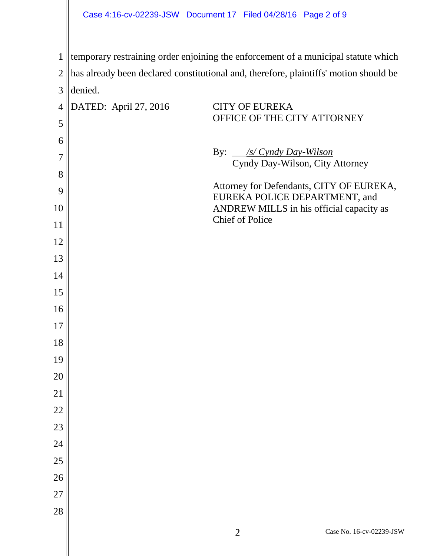|                | Case 4:16-cv-02239-JSW Document 17 Filed 04/28/16 Page 2 of 9                         |  |  |  |  |
|----------------|---------------------------------------------------------------------------------------|--|--|--|--|
| $\mathbf{1}$   | temporary restraining order enjoining the enforcement of a municipal statute which    |  |  |  |  |
| $\overline{2}$ | has already been declared constitutional and, therefore, plaintiffs' motion should be |  |  |  |  |
| 3              | denied.                                                                               |  |  |  |  |
| $\overline{4}$ | DATED: April 27, 2016<br><b>CITY OF EUREKA</b>                                        |  |  |  |  |
| 5              | OFFICE OF THE CITY ATTORNEY                                                           |  |  |  |  |
| 6              |                                                                                       |  |  |  |  |
| 7              | By: <u>/s/ Cyndy Day-Wilson</u><br>Cyndy Day-Wilson, City Attorney                    |  |  |  |  |
| 8              |                                                                                       |  |  |  |  |
| 9              | Attorney for Defendants, CITY OF EUREKA,<br>EUREKA POLICE DEPARTMENT, and             |  |  |  |  |
| 10             | ANDREW MILLS in his official capacity as<br><b>Chief of Police</b>                    |  |  |  |  |
| 11             |                                                                                       |  |  |  |  |
| 12             |                                                                                       |  |  |  |  |
| 13             |                                                                                       |  |  |  |  |
| 14             |                                                                                       |  |  |  |  |
| 15             |                                                                                       |  |  |  |  |
| 16             |                                                                                       |  |  |  |  |
| 17<br>18       |                                                                                       |  |  |  |  |
| 19             |                                                                                       |  |  |  |  |
| 20             |                                                                                       |  |  |  |  |
| 21             |                                                                                       |  |  |  |  |
| 22             |                                                                                       |  |  |  |  |
| 23             |                                                                                       |  |  |  |  |
| 24             |                                                                                       |  |  |  |  |
| 25             |                                                                                       |  |  |  |  |
| 26             |                                                                                       |  |  |  |  |
| 27             |                                                                                       |  |  |  |  |
| 28             |                                                                                       |  |  |  |  |
|                | Case No. 16-cv-02239-JSW<br>$\overline{2}$                                            |  |  |  |  |
|                |                                                                                       |  |  |  |  |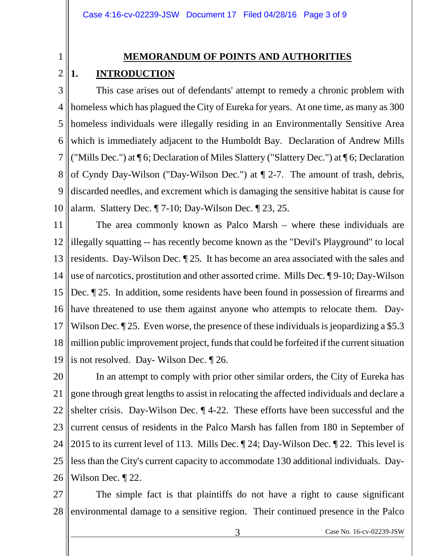#### **MEMORANDUM OF POINTS AND AUTHORITIES**

#### 2 **1. INTRODUCTION**

1

3 4 5 6 7 8 9 10 This case arises out of defendants' attempt to remedy a chronic problem with homeless which has plagued the City of Eureka for years. At one time, as many as 300 homeless individuals were illegally residing in an Environmentally Sensitive Area which is immediately adjacent to the Humboldt Bay. Declaration of Andrew Mills ("Mills Dec.") at ¶ 6; Declaration of Miles Slattery ("Slattery Dec.") at ¶ 6; Declaration of Cyndy Day-Wilson ("Day-Wilson Dec.") at ¶ 2-7. The amount of trash, debris, discarded needles, and excrement which is damaging the sensitive habitat is cause for alarm. Slattery Dec. ¶ 7-10; Day-Wilson Dec. ¶ 23, 25.

11 12 13 14 15 16 17 18 19 The area commonly known as Palco Marsh – where these individuals are illegally squatting -- has recently become known as the "Devil's Playground" to local residents. Day-Wilson Dec. ¶ 25. It has become an area associated with the sales and use of narcotics, prostitution and other assorted crime. Mills Dec. ¶ 9-10; Day-Wilson Dec. ¶ 25. In addition, some residents have been found in possession of firearms and have threatened to use them against anyone who attempts to relocate them. Day-Wilson Dec. 125. Even worse, the presence of these individuals is jeopardizing a \$5.3 million public improvement project, funds that could be forfeited if the current situation is not resolved. Day- Wilson Dec. ¶ 26.

20 21 22 23 24 25 26 In an attempt to comply with prior other similar orders, the City of Eureka has gone through great lengths to assist in relocating the affected individuals and declare a shelter crisis. Day-Wilson Dec. ¶ 4-22. These efforts have been successful and the current census of residents in the Palco Marsh has fallen from 180 in September of 2015 to its current level of 113. Mills Dec. ¶ 24; Day-Wilson Dec. ¶ 22. This level is less than the City's current capacity to accommodate 130 additional individuals. Day-Wilson Dec. ¶ 22.

27 28 The simple fact is that plaintiffs do not have a right to cause significant environmental damage to a sensitive region. Their continued presence in the Palco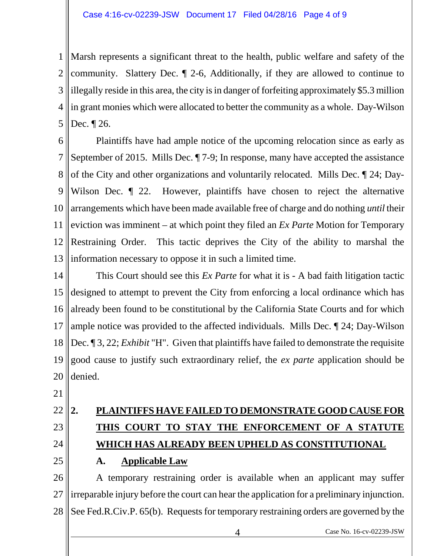1 2 3 4 5 Marsh represents a significant threat to the health, public welfare and safety of the community. Slattery Dec. ¶ 2-6, Additionally, if they are allowed to continue to illegally reside in this area, the city is in danger of forfeiting approximately \$5.3 million in grant monies which were allocated to better the community as a whole. Day-Wilson Dec. ¶ 26.

6 7 8 9 10 11 12 13 Plaintiffs have had ample notice of the upcoming relocation since as early as September of 2015. Mills Dec. ¶ 7-9; In response, many have accepted the assistance of the City and other organizations and voluntarily relocated. Mills Dec. ¶ 24; Day-Wilson Dec.  $\parallel$  22. However, plaintiffs have chosen to reject the alternative arrangements which have been made available free of charge and do nothing *until* their eviction was imminent – at which point they filed an *Ex Parte* Motion for Temporary Restraining Order. This tactic deprives the City of the ability to marshal the information necessary to oppose it in such a limited time.

14 15 16 17 18 19 20 This Court should see this *Ex Parte* for what it is - A bad faith litigation tactic designed to attempt to prevent the City from enforcing a local ordinance which has already been found to be constitutional by the California State Courts and for which ample notice was provided to the affected individuals. Mills Dec. ¶ 24; Day-Wilson Dec. ¶ 3, 22; *Exhibit* "H". Given that plaintiffs have failed to demonstrate the requisite good cause to justify such extraordinary relief, the *ex parte* application should be denied.

21

#### 22 23 24 **2. PLAINTIFFS HAVE FAILED TO DEMONSTRATE GOOD CAUSE FOR THIS COURT TO STAY THE ENFORCEMENT OF A STATUTE WHICH HAS ALREADY BEEN UPHELD AS CONSTITUTIONAL**

25

## **A. Applicable Law**

26 27 28 A temporary restraining order is available when an applicant may suffer irreparable injury before the court can hear the application for a preliminary injunction. See Fed.R.Civ.P. 65(b). Requests for temporary restraining orders are governed by the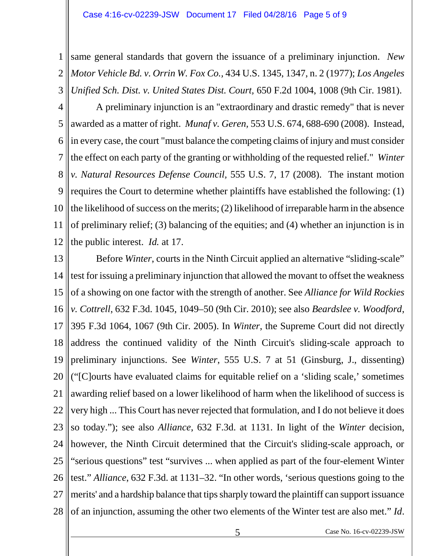1 2 3 same general standards that govern the issuance of a preliminary injunction. *New Motor Vehicle Bd. v. Orrin W. Fox Co.,* 434 U.S. 1345, 1347, n. 2 (1977); *Los Angeles Unified Sch. Dist. v. United States Dist. Court,* 650 F.2d 1004, 1008 (9th Cir. 1981).

4 5 6 7 8 9 10 11 12 A preliminary injunction is an "extraordinary and drastic remedy" that is never awarded as a matter of right. *Munaf v. Geren,* 553 U.S. 674, 688-690 (2008). Instead, in every case, the court "must balance the competing claims of injury and must consider the effect on each party of the granting or withholding of the requested relief." *Winter v. Natural Resources Defense Council,* 555 U.S. 7, 17 (2008). The instant motion requires the Court to determine whether plaintiffs have established the following: (1) the likelihood of success on the merits; (2) likelihood of irreparable harm in the absence of preliminary relief; (3) balancing of the equities; and (4) whether an injunction is in the public interest. *Id.* at 17.

13 14 15 16 17 18 19 20 21 22 23 24 25 26 27 28 Before *Winter*, courts in the Ninth Circuit applied an alternative "sliding-scale" test for issuing a preliminary injunction that allowed the movant to offset the weakness of a showing on one factor with the strength of another. See *Alliance for Wild Rockies v. Cottrell*, 632 F.3d. 1045, 1049–50 (9th Cir. 2010); see also *Beardslee v. Woodford*, 395 F.3d 1064, 1067 (9th Cir. 2005). In *Winter*, the Supreme Court did not directly address the continued validity of the Ninth Circuit's sliding-scale approach to preliminary injunctions. See *Winter*, 555 U.S. 7 at 51 (Ginsburg, J., dissenting) ("[C]ourts have evaluated claims for equitable relief on a 'sliding scale,' sometimes awarding relief based on a lower likelihood of harm when the likelihood of success is very high ... This Court has never rejected that formulation, and I do not believe it does so today."); see also *Alliance*, 632 F.3d. at 1131. In light of the *Winter* decision, however, the Ninth Circuit determined that the Circuit's sliding-scale approach, or "serious questions" test "survives ... when applied as part of the four-element Winter test." *Alliance*, 632 F.3d. at 1131–32. "In other words, 'serious questions going to the merits' and a hardship balance that tips sharply toward the plaintiff can support issuance of an injunction, assuming the other two elements of the Winter test are also met." *Id*.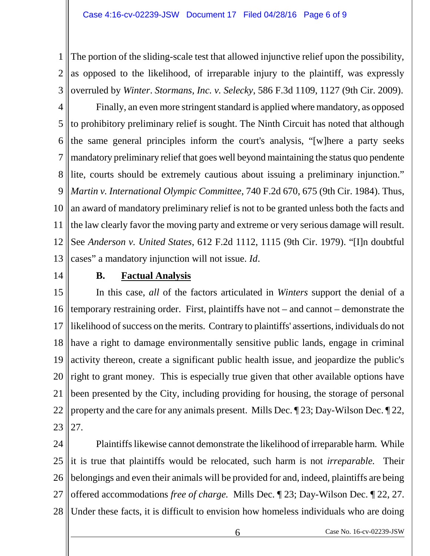1 2 3 The portion of the sliding-scale test that allowed injunctive relief upon the possibility, as opposed to the likelihood, of irreparable injury to the plaintiff, was expressly overruled by *Winter*. *Stormans, Inc. v. Selecky*, 586 F.3d 1109, 1127 (9th Cir. 2009).

4 5 6 7 8 9 10 11 12 13 Finally, an even more stringent standard is applied where mandatory, as opposed to prohibitory preliminary relief is sought. The Ninth Circuit has noted that although the same general principles inform the court's analysis, "[w]here a party seeks mandatory preliminary relief that goes well beyond maintaining the status quo pendente lite, courts should be extremely cautious about issuing a preliminary injunction." *Martin v. International Olympic Committee*, 740 F.2d 670, 675 (9th Cir. 1984). Thus, an award of mandatory preliminary relief is not to be granted unless both the facts and the law clearly favor the moving party and extreme or very serious damage will result. See *Anderson v. United States*, 612 F.2d 1112, 1115 (9th Cir. 1979). "[I]n doubtful cases" a mandatory injunction will not issue. *Id*.

14

## **B. Factual Analysis**

15 16 17 18 19 20 21 22 23 In this case, *all* of the factors articulated in *Winters* support the denial of a temporary restraining order. First, plaintiffs have not – and cannot – demonstrate the likelihood of success on the merits. Contrary to plaintiffs' assertions, individuals do not have a right to damage environmentally sensitive public lands, engage in criminal activity thereon, create a significant public health issue, and jeopardize the public's right to grant money. This is especially true given that other available options have been presented by the City, including providing for housing, the storage of personal property and the care for any animals present. Mills Dec. ¶ 23; Day-Wilson Dec. ¶ 22, 27.

24 25 26 27 28 Plaintiffs likewise cannot demonstrate the likelihood of irreparable harm. While it is true that plaintiffs would be relocated, such harm is not *irreparable.* Their belongings and even their animals will be provided for and, indeed, plaintiffs are being offered accommodations *free of charge.* Mills Dec. ¶ 23; Day-Wilson Dec. ¶ 22, 27. Under these facts, it is difficult to envision how homeless individuals who are doing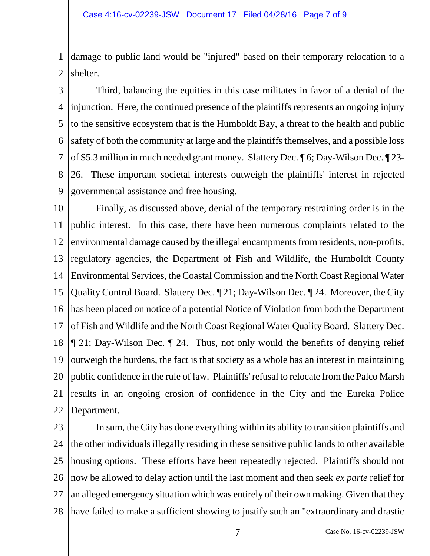1 2 damage to public land would be "injured" based on their temporary relocation to a shelter.

3 4 5 6 7 8 9 Third, balancing the equities in this case militates in favor of a denial of the injunction. Here, the continued presence of the plaintiffs represents an ongoing injury to the sensitive ecosystem that is the Humboldt Bay, a threat to the health and public safety of both the community at large and the plaintiffs themselves, and a possible loss of \$5.3 million in much needed grant money. Slattery Dec. ¶ 6; Day-Wilson Dec. ¶ 23- 26. These important societal interests outweigh the plaintiffs' interest in rejected governmental assistance and free housing.

10 11 12 13 14 15 16 17 18 19 20 21 22 Finally, as discussed above, denial of the temporary restraining order is in the public interest. In this case, there have been numerous complaints related to the environmental damage caused by the illegal encampments from residents, non-profits, regulatory agencies, the Department of Fish and Wildlife, the Humboldt County Environmental Services, the Coastal Commission and the North Coast Regional Water Quality Control Board. Slattery Dec. ¶ 21; Day-Wilson Dec. ¶ 24. Moreover, the City has been placed on notice of a potential Notice of Violation from both the Department of Fish and Wildlife and the North Coast Regional Water Quality Board. Slattery Dec. ¶ 21; Day-Wilson Dec. ¶ 24. Thus, not only would the benefits of denying relief outweigh the burdens, the fact is that society as a whole has an interest in maintaining public confidence in the rule of law. Plaintiffs' refusal to relocate from the Palco Marsh results in an ongoing erosion of confidence in the City and the Eureka Police Department.

23 24 25 26 27 28 In sum, the City has done everything within its ability to transition plaintiffs and the other individuals illegally residing in these sensitive public lands to other available housing options. These efforts have been repeatedly rejected. Plaintiffs should not now be allowed to delay action until the last moment and then seek *ex parte* relief for an alleged emergency situation which was entirely of their own making. Given that they have failed to make a sufficient showing to justify such an "extraordinary and drastic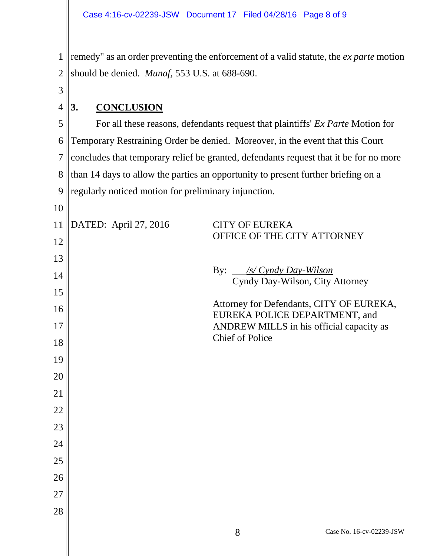remedy" as an order preventing the enforcement of a valid statute, the *ex parte* motion should be denied. *Munaf,* 553 U.S. at 688-690.

# **3. CONCLUSION**

 For all these reasons, defendants request that plaintiffs' *Ex Parte* Motion for Temporary Restraining Order be denied. Moreover, in the event that this Court concludes that temporary relief be granted, defendants request that it be for no more than 14 days to allow the parties an opportunity to present further briefing on a regularly noticed motion for preliminary injunction.

| 11 | DATED: April 27, 2016 | <b>CITY OF EUREKA</b><br>OFFICE OF THE CITY ATTORNEY                      |
|----|-----------------------|---------------------------------------------------------------------------|
| 12 |                       |                                                                           |
| 13 |                       |                                                                           |
| 14 |                       | By: _ <i>/s/ Cyndy Day-Wilson</i><br>Cyndy Day-Wilson, City Attorney      |
| 15 |                       |                                                                           |
| 16 |                       | Attorney for Defendants, CITY OF EUREKA,<br>EUREKA POLICE DEPARTMENT, and |
| 17 |                       | ANDREW MILLS in his official capacity as                                  |
| 18 |                       | <b>Chief of Police</b>                                                    |
| 19 |                       |                                                                           |
| 20 |                       |                                                                           |
| 21 |                       |                                                                           |
| 22 |                       |                                                                           |
| 23 |                       |                                                                           |
| 24 |                       |                                                                           |
| 25 |                       |                                                                           |
| 26 |                       |                                                                           |
| 27 |                       |                                                                           |
| 28 |                       |                                                                           |
|    |                       | Case No. 16-cv-02239-JSW<br>8                                             |
|    |                       |                                                                           |